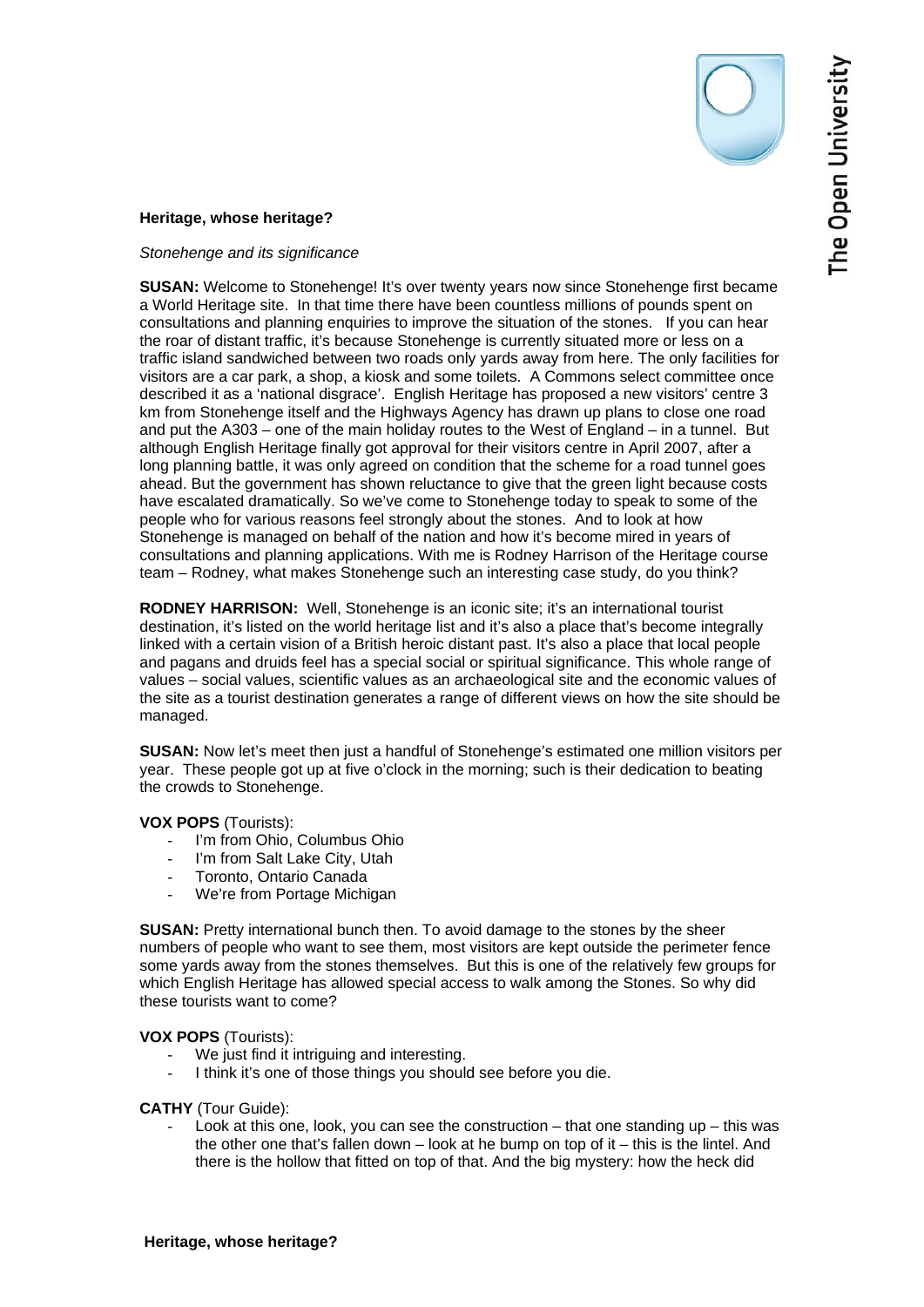

## **Heritage, whose heritage?**

## *Stonehenge and its significance*

**SUSAN:** Welcome to Stonehenge! It's over twenty years now since Stonehenge first became a World Heritage site. In that time there have been countless millions of pounds spent on consultations and planning enquiries to improve the situation of the stones. If you can hear the roar of distant traffic, it's because Stonehenge is currently situated more or less on a traffic island sandwiched between two roads only yards away from here. The only facilities for visitors are a car park, a shop, a kiosk and some toilets. A Commons select committee once described it as a 'national disgrace'. English Heritage has proposed a new visitors' centre 3 km from Stonehenge itself and the Highways Agency has drawn up plans to close one road and put the A303 – one of the main holiday routes to the West of England – in a tunnel. But although English Heritage finally got approval for their visitors centre in April 2007, after a long planning battle, it was only agreed on condition that the scheme for a road tunnel goes ahead. But the government has shown reluctance to give that the green light because costs have escalated dramatically. So we've come to Stonehenge today to speak to some of the people who for various reasons feel strongly about the stones. And to look at how Stonehenge is managed on behalf of the nation and how it's become mired in years of consultations and planning applications. With me is Rodney Harrison of the Heritage course team – Rodney, what makes Stonehenge such an interesting case study, do you think?

**RODNEY HARRISON:** Well, Stonehenge is an iconic site; it's an international tourist destination, it's listed on the world heritage list and it's also a place that's become integrally linked with a certain vision of a British heroic distant past. It's also a place that local people and pagans and druids feel has a special social or spiritual significance. This whole range of values – social values, scientific values as an archaeological site and the economic values of the site as a tourist destination generates a range of different views on how the site should be managed.

**SUSAN:** Now let's meet then just a handful of Stonehenge's estimated one million visitors per year. These people got up at five o'clock in the morning; such is their dedication to beating the crowds to Stonehenge.

## **VOX POPS** (Tourists):

- I'm from Ohio, Columbus Ohio
- I'm from Salt Lake City, Utah
- Toronto, Ontario Canada
- We're from Portage Michigan

**SUSAN:** Pretty international bunch then. To avoid damage to the stones by the sheer numbers of people who want to see them, most visitors are kept outside the perimeter fence some yards away from the stones themselves. But this is one of the relatively few groups for which English Heritage has allowed special access to walk among the Stones. So why did these tourists want to come?

**VOX POPS** (Tourists):

- We just find it intriguing and interesting.
- I think it's one of those things you should see before you die.

# **CATHY** (Tour Guide):

Look at this one, look, you can see the construction  $-$  that one standing up  $-$  this was the other one that's fallen down – look at he bump on top of it – this is the lintel. And there is the hollow that fitted on top of that. And the big mystery: how the heck did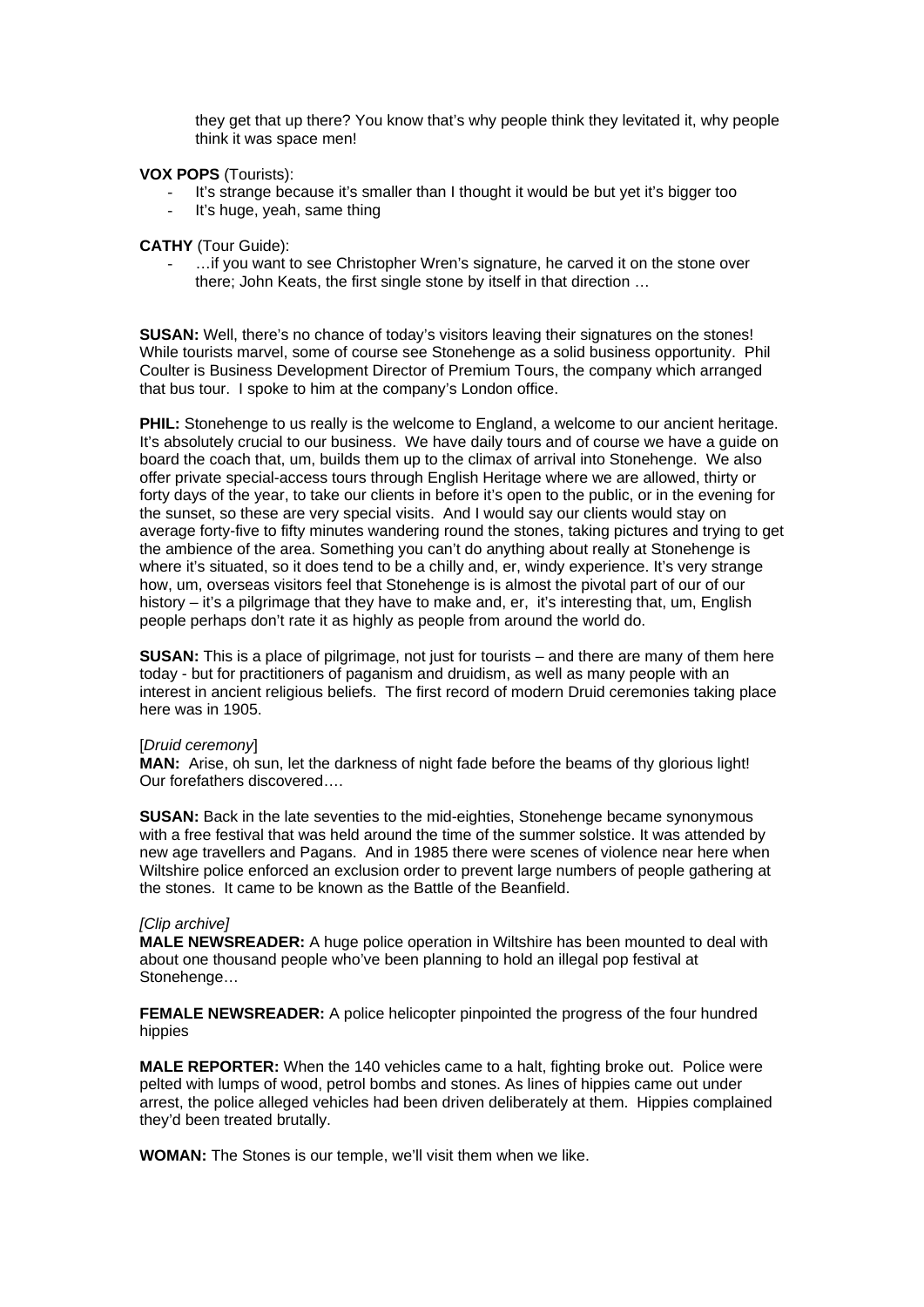they get that up there? You know that's why people think they levitated it, why people think it was space men!

## **VOX POPS** (Tourists):

- It's strange because it's smaller than I thought it would be but yet it's bigger too
- It's huge, yeah, same thing

#### **CATHY** (Tour Guide):

... if you want to see Christopher Wren's signature, he carved it on the stone over there; John Keats, the first single stone by itself in that direction …

**SUSAN:** Well, there's no chance of today's visitors leaving their signatures on the stones! While tourists marvel, some of course see Stonehenge as a solid business opportunity. Phil Coulter is Business Development Director of Premium Tours, the company which arranged that bus tour. I spoke to him at the company's London office.

**PHIL:** Stonehenge to us really is the welcome to England, a welcome to our ancient heritage. It's absolutely crucial to our business. We have daily tours and of course we have a guide on board the coach that, um, builds them up to the climax of arrival into Stonehenge. We also offer private special-access tours through English Heritage where we are allowed, thirty or forty days of the year, to take our clients in before it's open to the public, or in the evening for the sunset, so these are very special visits. And I would say our clients would stay on average forty-five to fifty minutes wandering round the stones, taking pictures and trying to get the ambience of the area. Something you can't do anything about really at Stonehenge is where it's situated, so it does tend to be a chilly and, er, windy experience. It's very strange how, um, overseas visitors feel that Stonehenge is is almost the pivotal part of our of our history – it's a pilgrimage that they have to make and, er, it's interesting that, um, English people perhaps don't rate it as highly as people from around the world do.

**SUSAN:** This is a place of pilgrimage, not just for tourists – and there are many of them here today - but for practitioners of paganism and druidism, as well as many people with an interest in ancient religious beliefs. The first record of modern Druid ceremonies taking place here was in 1905.

#### [*Druid ceremony*]

**MAN:** Arise, oh sun, let the darkness of night fade before the beams of thy glorious light! Our forefathers discovered….

**SUSAN:** Back in the late seventies to the mid-eighties, Stonehenge became synonymous with a free festival that was held around the time of the summer solstice. It was attended by new age travellers and Pagans. And in 1985 there were scenes of violence near here when Wiltshire police enforced an exclusion order to prevent large numbers of people gathering at the stones. It came to be known as the Battle of the Beanfield.

#### *[Clip archive]*

**MALE NEWSREADER:** A huge police operation in Wiltshire has been mounted to deal with about one thousand people who've been planning to hold an illegal pop festival at Stonehenge…

**FEMALE NEWSREADER:** A police helicopter pinpointed the progress of the four hundred hippies

**MALE REPORTER:** When the 140 vehicles came to a halt, fighting broke out. Police were pelted with lumps of wood, petrol bombs and stones. As lines of hippies came out under arrest, the police alleged vehicles had been driven deliberately at them. Hippies complained they'd been treated brutally.

**WOMAN:** The Stones is our temple, we'll visit them when we like.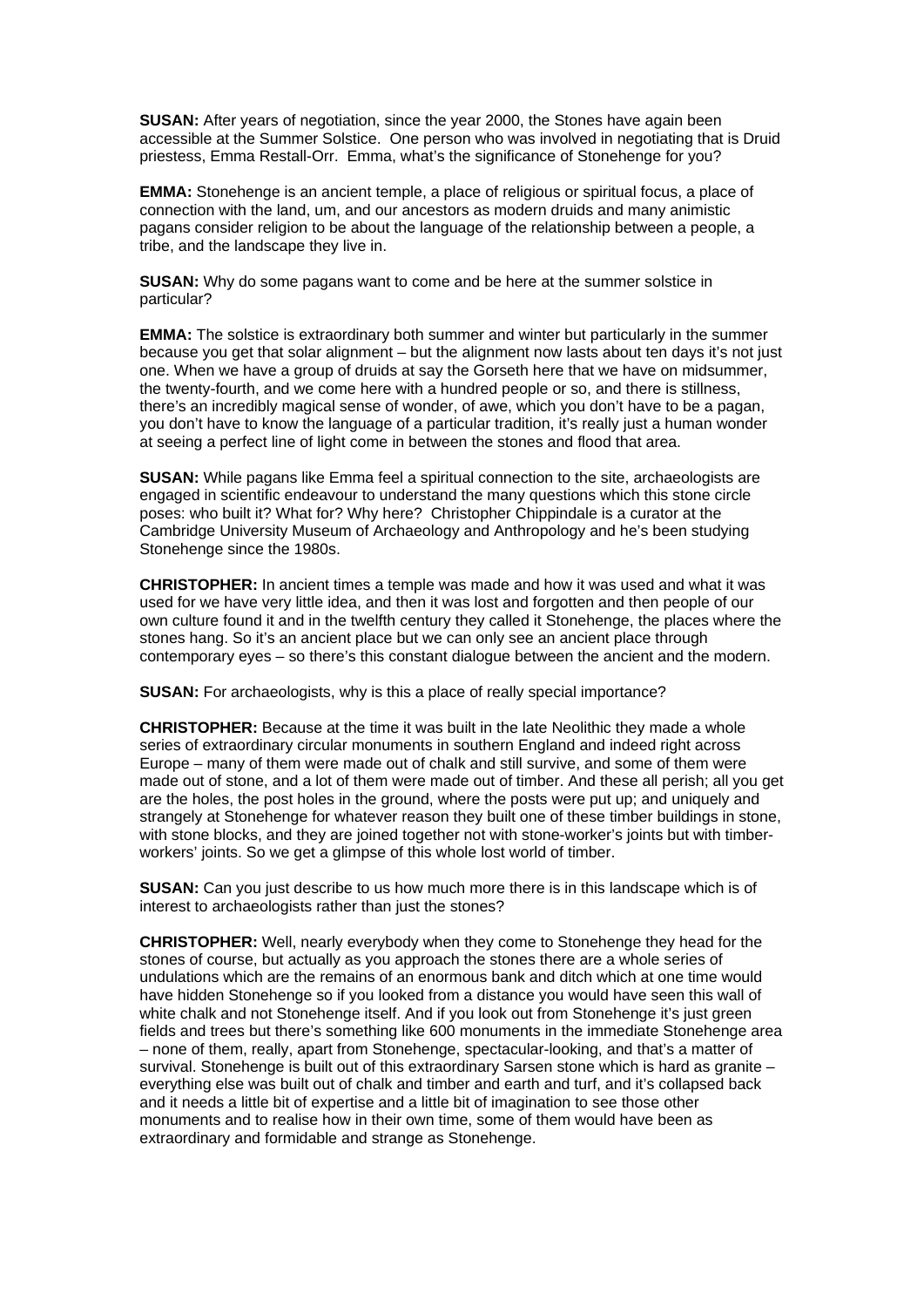**SUSAN:** After years of negotiation, since the year 2000, the Stones have again been accessible at the Summer Solstice. One person who was involved in negotiating that is Druid priestess, Emma Restall-Orr. Emma, what's the significance of Stonehenge for you?

**EMMA:** Stonehenge is an ancient temple, a place of religious or spiritual focus, a place of connection with the land, um, and our ancestors as modern druids and many animistic pagans consider religion to be about the language of the relationship between a people, a tribe, and the landscape they live in.

**SUSAN:** Why do some pagans want to come and be here at the summer solstice in particular?

**EMMA:** The solstice is extraordinary both summer and winter but particularly in the summer because you get that solar alignment – but the alignment now lasts about ten days it's not just one. When we have a group of druids at say the Gorseth here that we have on midsummer, the twenty-fourth, and we come here with a hundred people or so, and there is stillness, there's an incredibly magical sense of wonder, of awe, which you don't have to be a pagan, you don't have to know the language of a particular tradition, it's really just a human wonder at seeing a perfect line of light come in between the stones and flood that area.

**SUSAN:** While pagans like Emma feel a spiritual connection to the site, archaeologists are engaged in scientific endeavour to understand the many questions which this stone circle poses: who built it? What for? Why here? Christopher Chippindale is a curator at the Cambridge University Museum of Archaeology and Anthropology and he's been studying Stonehenge since the 1980s.

**CHRISTOPHER:** In ancient times a temple was made and how it was used and what it was used for we have very little idea, and then it was lost and forgotten and then people of our own culture found it and in the twelfth century they called it Stonehenge, the places where the stones hang. So it's an ancient place but we can only see an ancient place through contemporary eyes – so there's this constant dialogue between the ancient and the modern.

**SUSAN:** For archaeologists, why is this a place of really special importance?

**CHRISTOPHER:** Because at the time it was built in the late Neolithic they made a whole series of extraordinary circular monuments in southern England and indeed right across Europe – many of them were made out of chalk and still survive, and some of them were made out of stone, and a lot of them were made out of timber. And these all perish; all you get are the holes, the post holes in the ground, where the posts were put up; and uniquely and strangely at Stonehenge for whatever reason they built one of these timber buildings in stone, with stone blocks, and they are joined together not with stone-worker's joints but with timberworkers' joints. So we get a glimpse of this whole lost world of timber.

**SUSAN:** Can you just describe to us how much more there is in this landscape which is of interest to archaeologists rather than just the stones?

**CHRISTOPHER:** Well, nearly everybody when they come to Stonehenge they head for the stones of course, but actually as you approach the stones there are a whole series of undulations which are the remains of an enormous bank and ditch which at one time would have hidden Stonehenge so if you looked from a distance you would have seen this wall of white chalk and not Stonehenge itself. And if you look out from Stonehenge it's just green fields and trees but there's something like 600 monuments in the immediate Stonehenge area – none of them, really, apart from Stonehenge, spectacular-looking, and that's a matter of survival. Stonehenge is built out of this extraordinary Sarsen stone which is hard as granite – everything else was built out of chalk and timber and earth and turf, and it's collapsed back and it needs a little bit of expertise and a little bit of imagination to see those other monuments and to realise how in their own time, some of them would have been as extraordinary and formidable and strange as Stonehenge.